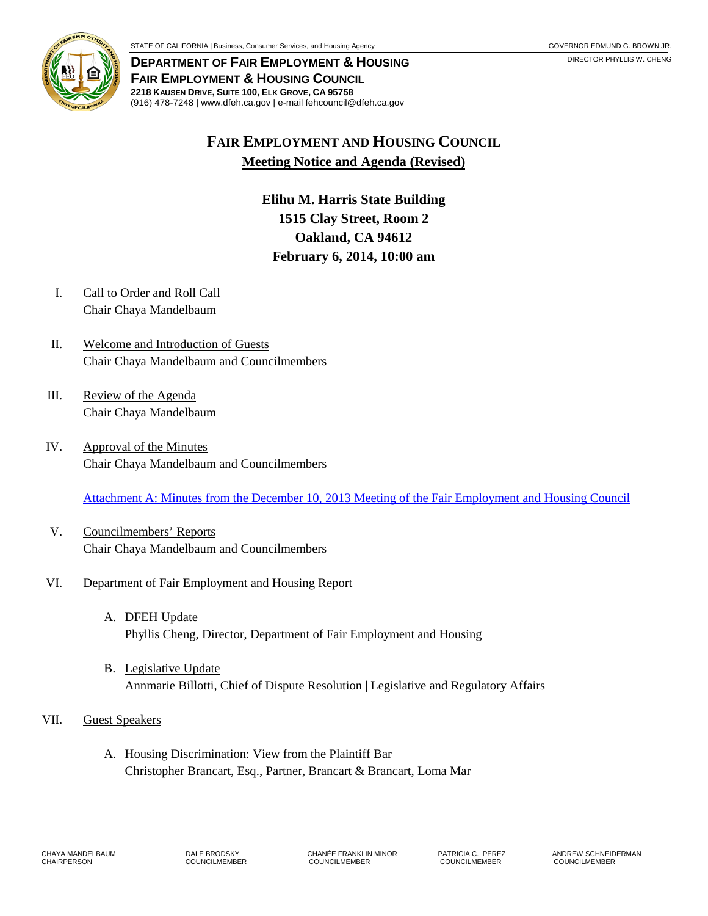

**DEPARTMENT OF FAIR EMPLOYMENT & HOUSING FAIR EMPLOYMENT & HOUSING COUNCIL 2218 KAUSEN DRIVE, SUITE 100, ELK GROVE, CA 95758** (916) 478-7248 | www.dfeh.ca.gov | e-mail fehcouncil@dfeh.ca.gov

# **FAIR EMPLOYMENT AND HOUSING COUNCIL Meeting Notice and Agenda (Revised)**

**Elihu M. Harris State Building 1515 Clay Street, Room 2 Oakland, CA 94612 February 6, 2014, 10:00 am** 

- I. Call to Order and Roll Call Chair Chaya Mandelbaum
- II. Welcome and Introduction of Guests Chair Chaya Mandelbaum and Councilmembers
- III. Review of the Agenda Chair Chaya Mandelbaum
- IV. Approval of the Minutes Chair Chaya Mandelbaum and Councilmembers

[Attachment A: Minutes from the December 10, 2013 Meeting of the Fair Employment and Housing Council](/wp-content/uploads/sites/32/2017/06/ATTACHA-2014Feb6.pdf)

V. Councilmembers' Reports Chair Chaya Mandelbaum and Councilmembers

### VI. Department of Fair Employment and Housing Report

- A. DFEH Update Phyllis Cheng, Director, Department of Fair Employment and Housing
- B. Legislative Update Annmarie Billotti, Chief of Dispute Resolution | Legislative and Regulatory Affairs
- VII. Guest Speakers
	- A. Housing Discrimination: View from the Plaintiff Bar Christopher Brancart, Esq., Partner, Brancart & Brancart, Loma Mar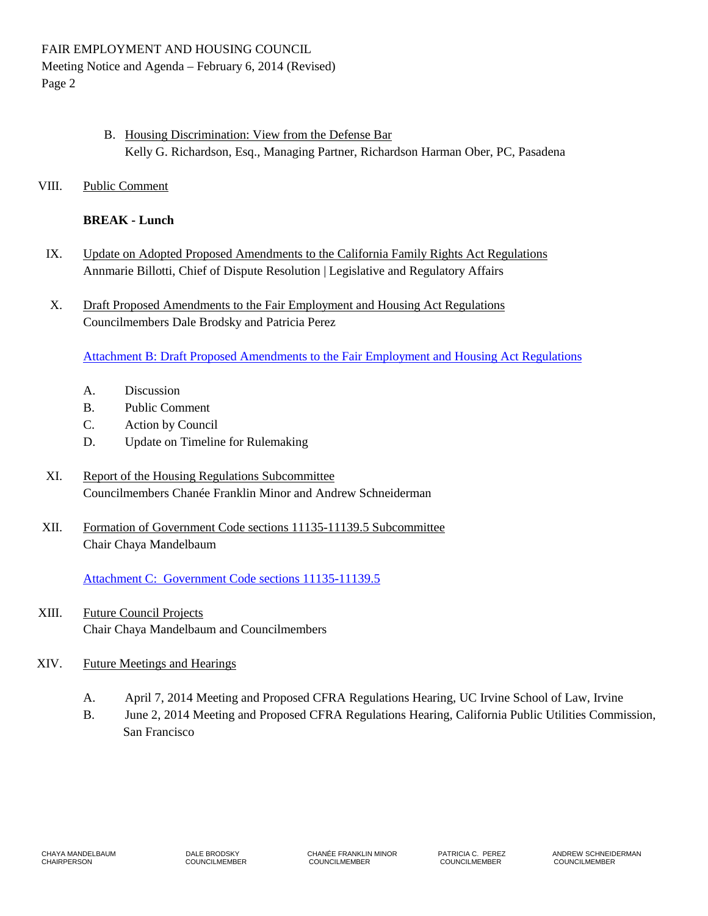- B. Housing Discrimination: View from the Defense Bar Kelly G. Richardson, Esq., Managing Partner, Richardson Harman Ober, PC, Pasadena
- VIII. Public Comment

## **BREAK - Lunch**

- IX. Update on Adopted Proposed Amendments to the California Family Rights Act Regulations Annmarie Billotti, Chief of Dispute Resolution | Legislative and Regulatory Affairs
- X. Draft Proposed Amendments to the Fair Employment and Housing Act Regulations Councilmembers Dale Brodsky and Patricia Perez

[Attachment B: Draft Proposed Amendments to the Fair Employment and Housing Act Regulations](/wp-content/uploads/sites/32/2017/06/ATTACHB-2014Feb6.pdf)

- A. Discussion
- B. Public Comment
- C. Action by Council
- D. Update on Timeline for Rulemaking
- XI. Report of the Housing Regulations Subcommittee Councilmembers Chanée Franklin Minor and Andrew Schneiderman
- XII. Formation of Government Code sections 11135-11139.5 Subcommittee Chair Chaya Mandelbaum

[Attachment C: Government Code sections 11135-11139.5](/wp-content/uploads/sites/32/2017/06/ATTACHC-2014Feb6.pdf)

- XIII. Future Council Projects Chair Chaya Mandelbaum and Councilmembers
- XIV. Future Meetings and Hearings
	- A. April 7, 2014 Meeting and Proposed CFRA Regulations Hearing, UC Irvine School of Law, Irvine
	- B. June 2, 2014 Meeting and Proposed CFRA Regulations Hearing, California Public Utilities Commission, San Francisco